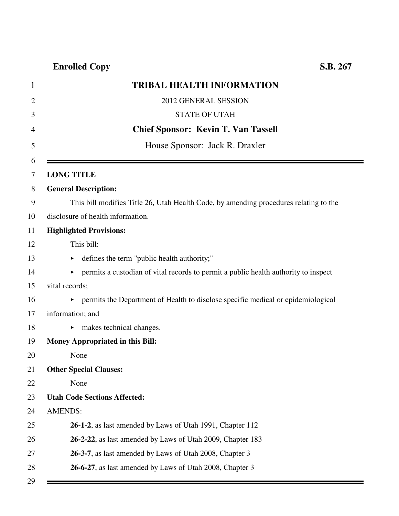| 1              | <b>TRIBAL HEALTH INFORMATION</b>                                                          |
|----------------|-------------------------------------------------------------------------------------------|
| $\overline{2}$ | 2012 GENERAL SESSION                                                                      |
| 3              | <b>STATE OF UTAH</b>                                                                      |
| 4              | <b>Chief Sponsor: Kevin T. Van Tassell</b>                                                |
| 5              | House Sponsor: Jack R. Draxler                                                            |
| 6<br>7         | <b>LONG TITLE</b>                                                                         |
| 8              | <b>General Description:</b>                                                               |
| 9              | This bill modifies Title 26, Utah Health Code, by amending procedures relating to the     |
| 10             | disclosure of health information.                                                         |
| 11             | <b>Highlighted Provisions:</b>                                                            |
| 12             | This bill:                                                                                |
| 13             | defines the term "public health authority;"                                               |
| 14             | permits a custodian of vital records to permit a public health authority to inspect<br>Þ. |
| 15             | vital records;                                                                            |
| 16             | • permits the Department of Health to disclose specific medical or epidemiological        |
| 17             | information; and                                                                          |
| 18             | makes technical changes.                                                                  |
| 19             | <b>Money Appropriated in this Bill:</b>                                                   |
| 20             | None                                                                                      |
| 21             | <b>Other Special Clauses:</b>                                                             |
| 22             | None                                                                                      |
| 23             | <b>Utah Code Sections Affected:</b>                                                       |
| 24             | <b>AMENDS:</b>                                                                            |
| 25             | 26-1-2, as last amended by Laws of Utah 1991, Chapter 112                                 |
| 26             | 26-2-22, as last amended by Laws of Utah 2009, Chapter 183                                |
| 27             | 26-3-7, as last amended by Laws of Utah 2008, Chapter 3                                   |
| 28             | 26-6-27, as last amended by Laws of Utah 2008, Chapter 3                                  |
| 29             |                                                                                           |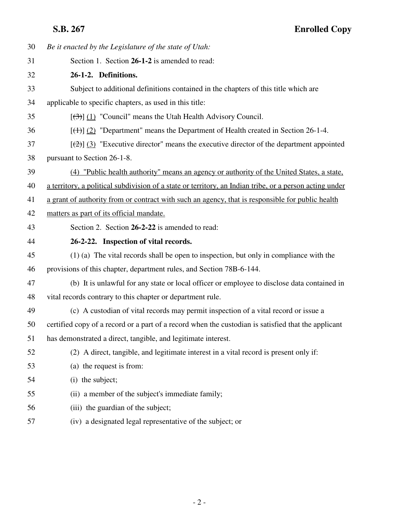| 30 | Be it enacted by the Legislature of the state of Utah:                                                  |
|----|---------------------------------------------------------------------------------------------------------|
| 31 | Section 1. Section 26-1-2 is amended to read:                                                           |
| 32 | 26-1-2. Definitions.                                                                                    |
| 33 | Subject to additional definitions contained in the chapters of this title which are                     |
| 34 | applicable to specific chapters, as used in this title:                                                 |
| 35 | $[\left(\frac{1}{2}\right)]$ (1) "Council" means the Utah Health Advisory Council.                      |
| 36 | $[\frac{(+)}{2}]$ "Department" means the Department of Health created in Section 26-1-4.                |
| 37 | $[\frac{1}{2}]$ (3) "Executive director" means the executive director of the department appointed       |
| 38 | pursuant to Section 26-1-8.                                                                             |
| 39 | (4) "Public health authority" means an agency or authority of the United States, a state,               |
| 40 | a territory, a political subdivision of a state or territory, an Indian tribe, or a person acting under |
| 41 | a grant of authority from or contract with such an agency, that is responsible for public health        |
| 42 | matters as part of its official mandate.                                                                |
| 43 | Section 2. Section 26-2-22 is amended to read:                                                          |
|    |                                                                                                         |
| 44 | 26-2-22. Inspection of vital records.                                                                   |
| 45 | $(1)$ (a) The vital records shall be open to inspection, but only in compliance with the                |
| 46 | provisions of this chapter, department rules, and Section 78B-6-144.                                    |
| 47 | (b) It is unlawful for any state or local officer or employee to disclose data contained in             |
| 48 | vital records contrary to this chapter or department rule.                                              |
| 49 | (c) A custodian of vital records may permit inspection of a vital record or issue a                     |
| 50 | certified copy of a record or a part of a record when the custodian is satisfied that the applicant     |
| 51 | has demonstrated a direct, tangible, and legitimate interest.                                           |
| 52 | (2) A direct, tangible, and legitimate interest in a vital record is present only if:                   |
| 53 | (a) the request is from:                                                                                |
| 54 | (i) the subject;                                                                                        |
| 55 | (ii) a member of the subject's immediate family;                                                        |
| 56 | (iii) the guardian of the subject;                                                                      |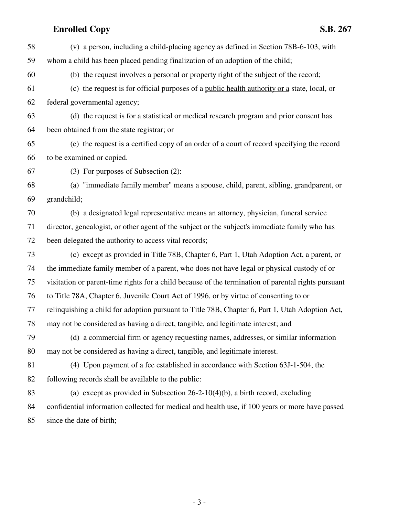| 58 | (v) a person, including a child-placing agency as defined in Section 78B-6-103, with                |
|----|-----------------------------------------------------------------------------------------------------|
| 59 | whom a child has been placed pending finalization of an adoption of the child;                      |
| 60 | (b) the request involves a personal or property right of the subject of the record;                 |
| 61 | (c) the request is for official purposes of a public health authority or a state, local, or         |
| 62 | federal governmental agency;                                                                        |
| 63 | (d) the request is for a statistical or medical research program and prior consent has              |
| 64 | been obtained from the state registrar; or                                                          |
| 65 | (e) the request is a certified copy of an order of a court of record specifying the record          |
| 66 | to be examined or copied.                                                                           |
| 67 | (3) For purposes of Subsection (2):                                                                 |
| 68 | (a) "immediate family member" means a spouse, child, parent, sibling, grandparent, or               |
| 69 | grandchild;                                                                                         |
| 70 | (b) a designated legal representative means an attorney, physician, funeral service                 |
| 71 | director, genealogist, or other agent of the subject or the subject's immediate family who has      |
| 72 | been delegated the authority to access vital records;                                               |
| 73 | (c) except as provided in Title 78B, Chapter 6, Part 1, Utah Adoption Act, a parent, or             |
| 74 | the immediate family member of a parent, who does not have legal or physical custody of or          |
| 75 | visitation or parent-time rights for a child because of the termination of parental rights pursuant |
| 76 | to Title 78A, Chapter 6, Juvenile Court Act of 1996, or by virtue of consenting to or               |
| 77 | relinquishing a child for adoption pursuant to Title 78B, Chapter 6, Part 1, Utah Adoption Act,     |
| 78 | may not be considered as having a direct, tangible, and legitimate interest; and                    |
| 79 | (d) a commercial firm or agency requesting names, addresses, or similar information                 |
| 80 | may not be considered as having a direct, tangible, and legitimate interest.                        |
| 81 | (4) Upon payment of a fee established in accordance with Section 63J-1-504, the                     |
| 82 | following records shall be available to the public:                                                 |
| 83 | (a) except as provided in Subsection $26-2-10(4)(b)$ , a birth record, excluding                    |
| 84 | confidential information collected for medical and health use, if 100 years or more have passed     |
| 85 | since the date of birth;                                                                            |

- 3 -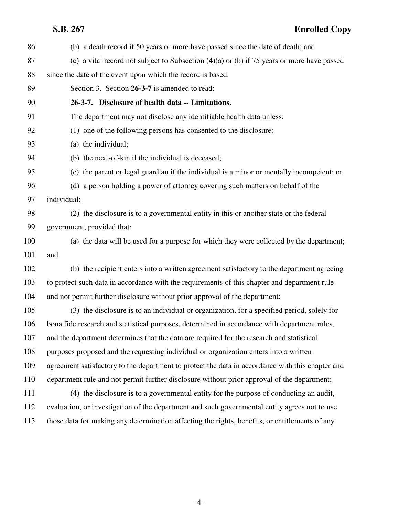# **S.B. 267 Enrolled Copy**

| 86  | (b) a death record if 50 years or more have passed since the date of death; and                  |
|-----|--------------------------------------------------------------------------------------------------|
| 87  | (c) a vital record not subject to Subsection $(4)(a)$ or (b) if 75 years or more have passed     |
| 88  | since the date of the event upon which the record is based.                                      |
| 89  | Section 3. Section 26-3-7 is amended to read:                                                    |
| 90  | 26-3-7. Disclosure of health data -- Limitations.                                                |
| 91  | The department may not disclose any identifiable health data unless:                             |
| 92  | (1) one of the following persons has consented to the disclosure:                                |
| 93  | (a) the individual;                                                                              |
| 94  | (b) the next-of-kin if the individual is deceased;                                               |
| 95  | (c) the parent or legal guardian if the individual is a minor or mentally incompetent; or        |
| 96  | (d) a person holding a power of attorney covering such matters on behalf of the                  |
| 97  | individual;                                                                                      |
| 98  | (2) the disclosure is to a governmental entity in this or another state or the federal           |
| 99  | government, provided that:                                                                       |
| 100 | (a) the data will be used for a purpose for which they were collected by the department;         |
| 101 | and                                                                                              |
| 102 | (b) the recipient enters into a written agreement satisfactory to the department agreeing        |
| 103 | to protect such data in accordance with the requirements of this chapter and department rule     |
| 104 | and not permit further disclosure without prior approval of the department;                      |
| 105 | (3) the disclosure is to an individual or organization, for a specified period, solely for       |
| 106 | bona fide research and statistical purposes, determined in accordance with department rules,     |
| 107 | and the department determines that the data are required for the research and statistical        |
| 108 | purposes proposed and the requesting individual or organization enters into a written            |
| 109 | agreement satisfactory to the department to protect the data in accordance with this chapter and |
| 110 | department rule and not permit further disclosure without prior approval of the department;      |
| 111 | (4) the disclosure is to a governmental entity for the purpose of conducting an audit,           |
| 112 | evaluation, or investigation of the department and such governmental entity agrees not to use    |
| 113 | those data for making any determination affecting the rights, benefits, or entitlements of any   |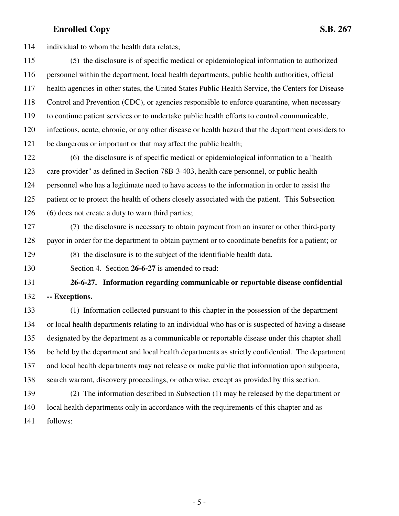114 individual to whom the health data relates;

115 (5) the disclosure is of specific medical or epidemiological information to authorized 116 personnel within the department, local health departments, public health authorities, official 117 health agencies in other states, the United States Public Health Service, the Centers for Disease 118 Control and Prevention (CDC), or agencies responsible to enforce quarantine, when necessary 119 to continue patient services or to undertake public health efforts to control communicable, 120 infectious, acute, chronic, or any other disease or health hazard that the department considers to 121 be dangerous or important or that may affect the public health;

122 (6) the disclosure is of specific medical or epidemiological information to a "health 123 care provider" as defined in Section 78B-3-403, health care personnel, or public health 124 personnel who has a legitimate need to have access to the information in order to assist the 125 patient or to protect the health of others closely associated with the patient. This Subsection 126 (6) does not create a duty to warn third parties;

127 (7) the disclosure is necessary to obtain payment from an insurer or other third-party 128 payor in order for the department to obtain payment or to coordinate benefits for a patient; or

129 (8) the disclosure is to the subject of the identifiable health data.

130 Section 4. Section **26-6-27** is amended to read:

131 **26-6-27. Information regarding communicable or reportable disease confidential** 132 **-- Exceptions.**

133 (1) Information collected pursuant to this chapter in the possession of the department 134 or local health departments relating to an individual who has or is suspected of having a disease 135 designated by the department as a communicable or reportable disease under this chapter shall 136 be held by the department and local health departments as strictly confidential. The department 137 and local health departments may not release or make public that information upon subpoena, 138 search warrant, discovery proceedings, or otherwise, except as provided by this section.

139 (2) The information described in Subsection (1) may be released by the department or 140 local health departments only in accordance with the requirements of this chapter and as 141 follows: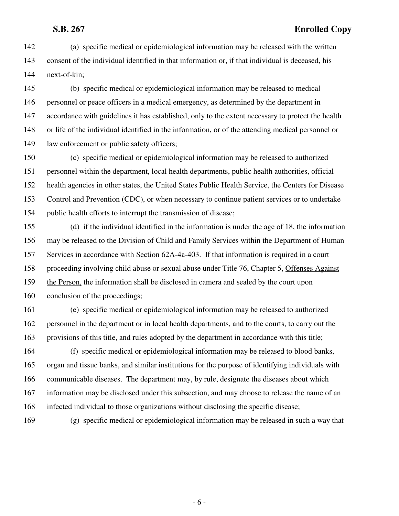### **S.B. 267 Enrolled Copy**

142 (a) specific medical or epidemiological information may be released with the written 143 consent of the individual identified in that information or, if that individual is deceased, his 144 next-of-kin;

145 (b) specific medical or epidemiological information may be released to medical 146 personnel or peace officers in a medical emergency, as determined by the department in 147 accordance with guidelines it has established, only to the extent necessary to protect the health 148 or life of the individual identified in the information, or of the attending medical personnel or 149 law enforcement or public safety officers;

150 (c) specific medical or epidemiological information may be released to authorized 151 personnel within the department, local health departments, public health authorities, official 152 health agencies in other states, the United States Public Health Service, the Centers for Disease 153 Control and Prevention (CDC), or when necessary to continue patient services or to undertake 154 public health efforts to interrupt the transmission of disease;

155 (d) if the individual identified in the information is under the age of 18, the information 156 may be released to the Division of Child and Family Services within the Department of Human 157 Services in accordance with Section 62A-4a-403. If that information is required in a court 158 proceeding involving child abuse or sexual abuse under Title 76, Chapter 5, Offenses Against 159 the Person, the information shall be disclosed in camera and sealed by the court upon 160 conclusion of the proceedings;

161 (e) specific medical or epidemiological information may be released to authorized 162 personnel in the department or in local health departments, and to the courts, to carry out the 163 provisions of this title, and rules adopted by the department in accordance with this title;

164 (f) specific medical or epidemiological information may be released to blood banks, 165 organ and tissue banks, and similar institutions for the purpose of identifying individuals with 166 communicable diseases. The department may, by rule, designate the diseases about which 167 information may be disclosed under this subsection, and may choose to release the name of an 168 infected individual to those organizations without disclosing the specific disease;

169 (g) specific medical or epidemiological information may be released in such a way that

- 6 -